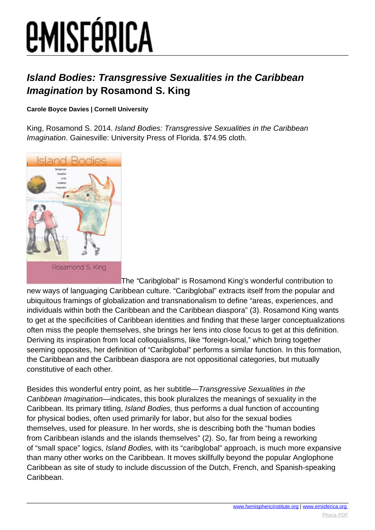#### **Island Bodies: Transgressive Sexualities in the Caribbean Imagination by Rosamond S. King**

#### **Carole Boyce Davies | Cornell University**

King, Rosamond S. 2014. Island Bodies: Transgressive Sexualities in the Caribbean Imagination. Gainesville: University Press of Florida. \$74.95 cloth.



The "Caribglobal" is Rosamond King's wonderful contribution to new ways of languaging Caribbean culture. "Caribglobal" extracts itself from the popular and ubiquitous framings of globalization and transnationalism to define "areas, experiences, and individuals within both the Caribbean and the Caribbean diaspora" (3). Rosamond King wants to get at the specificities of Caribbean identities and finding that these larger conceptualizations often miss the people themselves, she brings her lens into close focus to get at this definition. Deriving its inspiration from local colloquialisms, like "foreign-local," which bring together seeming opposites, her definition of "Caribglobal" performs a similar function. In this formation, the Caribbean and the Caribbean diaspora are not oppositional categories, but mutually constitutive of each other.

Besides this wonderful entry point, as her subtitle—Transgressive Sexualities in the Caribbean Imagination—indicates, this book pluralizes the meanings of sexuality in the Caribbean. Its primary titling, Island Bodies, thus performs a dual function of accounting for physical bodies, often used primarily for labor, but also for the sexual bodies themselves, used for pleasure. In her words, she is describing both the "human bodies from Caribbean islands and the islands themselves" (2). So, far from being a reworking of "small space" logics, Island Bodies, with its "caribglobal" approach, is much more expansive than many other works on the Caribbean. It moves skillfully beyond the popular Anglophone Caribbean as site of study to include discussion of the Dutch, French, and Spanish-speaking Caribbean.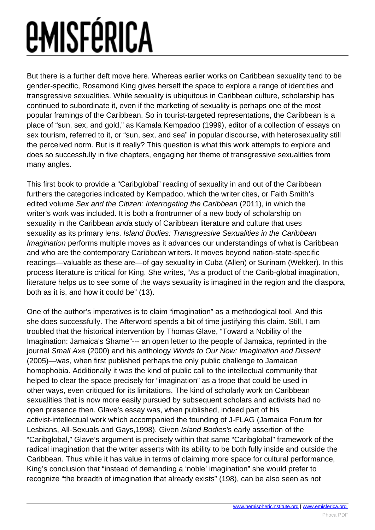But there is a further deft move here. Whereas earlier works on Caribbean sexuality tend to be gender-specific, Rosamond King gives herself the space to explore a range of identities and transgressive sexualities. While sexuality is ubiquitous in Caribbean culture, scholarship has continued to subordinate it, even if the marketing of sexuality is perhaps one of the most popular framings of the Caribbean. So in tourist-targeted representations, the Caribbean is a place of "sun, sex, and gold," as Kamala Kempadoo (1999), editor of a collection of essays on sex tourism, referred to it, or "sun, sex, and sea" in popular discourse, with heterosexuality still the perceived norm. But is it really? This question is what this work attempts to explore and does so successfully in five chapters, engaging her theme of transgressive sexualities from many angles.

This first book to provide a "Caribglobal" reading of sexuality in and out of the Caribbean furthers the categories indicated by Kempadoo, which the writer cites, or Faith Smith's edited volume Sex and the Citizen: Interrogating the Caribbean (2011), in which the writer's work was included. It is both a frontrunner of a new body of scholarship on sexuality in the Caribbean anda study of Caribbean literature and culture that uses sexuality as its primary lens. Island Bodies: Transgressive Sexualities in the Caribbean Imagination performs multiple moves as it advances our understandings of what is Caribbean and who are the contemporary Caribbean writers. It moves beyond nation-state-specific readings—valuable as these are—of gay sexuality in Cuba (Allen) or Surinam (Wekker). In this process literature is critical for King. She writes, "As a product of the Carib-global imagination, literature helps us to see some of the ways sexuality is imagined in the region and the diaspora, both as it is, and how it could be" (13).

One of the author's imperatives is to claim "imagination" as a methodogical tool. And this she does successfully. The Afterword spends a bit of time justifying this claim. Still, I am troubled that the historical intervention by Thomas Glave, "Toward a Nobility of the Imagination: Jamaica's Shame"--- an open letter to the people of Jamaica, reprinted in the journal Small Axe (2000) and his anthology Words to Our Now: Imagination and Dissent (2005)—was, when first published perhaps the only public challenge to Jamaican homophobia. Additionally it was the kind of public call to the intellectual community that helped to clear the space precisely for "imagination" as a trope that could be used in other ways, even critiqued for its limitations. The kind of scholarly work on Caribbean sexualities that is now more easily pursued by subsequent scholars and activists had no open presence then. Glave's essay was, when published, indeed part of his activist-intellectual work which accompanied the founding of J-FLAG (Jamaica Forum for Lesbians, All-Sexuals and Gays,1998). Given Island Bodies's early assertion of the "Caribglobal," Glave's argument is precisely within that same "Caribglobal" framework of the radical imagination that the writer asserts with its ability to be both fully inside and outside the Caribbean. Thus while it has value in terms of claiming more space for cultural performance, King's conclusion that "instead of demanding a 'noble' imagination" she would prefer to recognize "the breadth of imagination that already exists" (198), can be also seen as not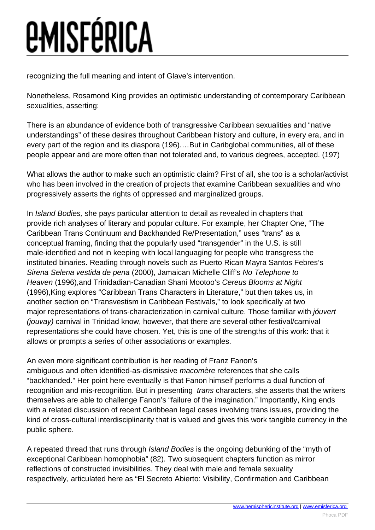## *<u>EMISFÉRICA</u>*

recognizing the full meaning and intent of Glave's intervention.

Nonetheless, Rosamond King provides an optimistic understanding of contemporary Caribbean sexualities, asserting:

There is an abundance of evidence both of transgressive Caribbean sexualities and "native understandings" of these desires throughout Caribbean history and culture, in every era, and in every part of the region and its diaspora (196).…But in Caribglobal communities, all of these people appear and are more often than not tolerated and, to various degrees, accepted. (197)

What allows the author to make such an optimistic claim? First of all, she too is a scholar/activist who has been involved in the creation of projects that examine Caribbean sexualities and who progressively asserts the rights of oppressed and marginalized groups.

In Island Bodies, she pays particular attention to detail as revealed in chapters that provide rich analyses of literary and popular culture. For example, her Chapter One, "The Caribbean Trans Continuum and Backhanded Re/Presentation," uses "trans" as a conceptual framing, finding that the popularly used "transgender" in the U.S. is still male-identified and not in keeping with local languaging for people who transgress the instituted binaries. Reading through novels such as Puerto Rican Mayra Santos Febres's Sirena Selena vestida de pena (2000), Jamaican Michelle Cliff's No Telephone to Heaven (1996),and Trinidadian-Canadian Shani Mootoo's Cereus Blooms at Night (1996),King explores "Caribbean Trans Characters in Literature," but then takes us, in another section on "Transvestism in Caribbean Festivals," to look specifically at two major representations of trans-characterization in carnival culture. Those familiar with jóuvert (jouvay) carnival in Trinidad know, however, that there are several other festival/carnival representations she could have chosen. Yet, this is one of the strengths of this work: that it allows or prompts a series of other associations or examples.

An even more significant contribution is her reading of Franz Fanon's ambiguous and often identified-as-dismissive macomère references that she calls "backhanded." Her point here eventually is that Fanon himself performs a dual function of recognition and mis-recognition. But in presenting *trans* characters, she asserts that the writers themselves are able to challenge Fanon's "failure of the imagination." Importantly, King ends with a related discussion of recent Caribbean legal cases involving trans issues, providing the kind of cross-cultural interdisciplinarity that is valued and gives this work tangible currency in the public sphere.

A repeated thread that runs through Island Bodies is the ongoing debunking of the "myth of exceptional Caribbean homophobia" (82). Two subsequent chapters function as mirror reflections of constructed invisibilities. They deal with male and female sexuality respectively, articulated here as "El Secreto Abierto: Visibility, Confirmation and Caribbean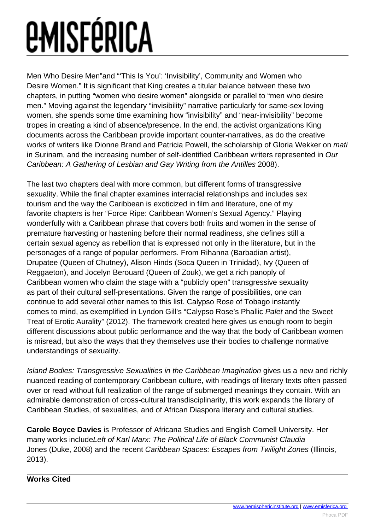Men Who Desire Men"and "'This Is You': 'Invisibility', Community and Women who Desire Women." It is significant that King creates a titular balance between these two chapters, in putting "women who desire women" alongside or parallel to "men who desire men." Moving against the legendary "invisibility" narrative particularly for same-sex loving women, she spends some time examining how "invisibility" and "near-invisibility" become tropes in creating a kind of absence/presence. In the end, the activist organizations King documents across the Caribbean provide important counter-narratives, as do the creative works of writers like Dionne Brand and Patricia Powell, the scholarship of Gloria Wekker on mati in Surinam, and the increasing number of self-identified Caribbean writers represented in Our Caribbean: A Gathering of Lesbian and Gay Writing from the Antilles 2008).

The last two chapters deal with more common, but different forms of transgressive sexuality. While the final chapter examines interracial relationships and includes sex tourism and the way the Caribbean is exoticized in film and literature, one of my favorite chapters is her "Force Ripe: Caribbean Women's Sexual Agency." Playing wonderfully with a Caribbean phrase that covers both fruits and women in the sense of premature harvesting or hastening before their normal readiness, she defines still a certain sexual agency as rebellion that is expressed not only in the literature, but in the personages of a range of popular performers. From Rihanna (Barbadian artist), Drupatee (Queen of Chutney), Alison Hinds (Soca Queen in Trinidad), Ivy (Queen of Reggaeton), and Jocelyn Berouard (Queen of Zouk), we get a rich panoply of Caribbean women who claim the stage with a "publicly open" transgressive sexuality as part of their cultural self-presentations. Given the range of possibilities, one can continue to add several other names to this list. Calypso Rose of Tobago instantly comes to mind, as exemplified in Lyndon Gill's "Calypso Rose's Phallic Palet and the Sweet Treat of Erotic Aurality" (2012). The framework created here gives us enough room to begin different discussions about public performance and the way that the body of Caribbean women is misread, but also the ways that they themselves use their bodies to challenge normative understandings of sexuality.

Island Bodies: Transgressive Sexualities in the Caribbean Imagination gives us a new and richly nuanced reading of contemporary Caribbean culture, with readings of literary texts often passed over or read without full realization of the range of submerged meanings they contain. With an admirable demonstration of cross-cultural transdisciplinarity, this work expands the library of Caribbean Studies, of sexualities, and of African Diaspora literary and cultural studies.

**Carole Boyce Davies** is Professor of Africana Studies and English Cornell University. Her many works includeLeft of Karl Marx: The Political Life of Black Communist Claudia Jones (Duke, 2008) and the recent Caribbean Spaces: Escapes from Twilight Zones (Illinois, 2013).

#### **Works Cited**